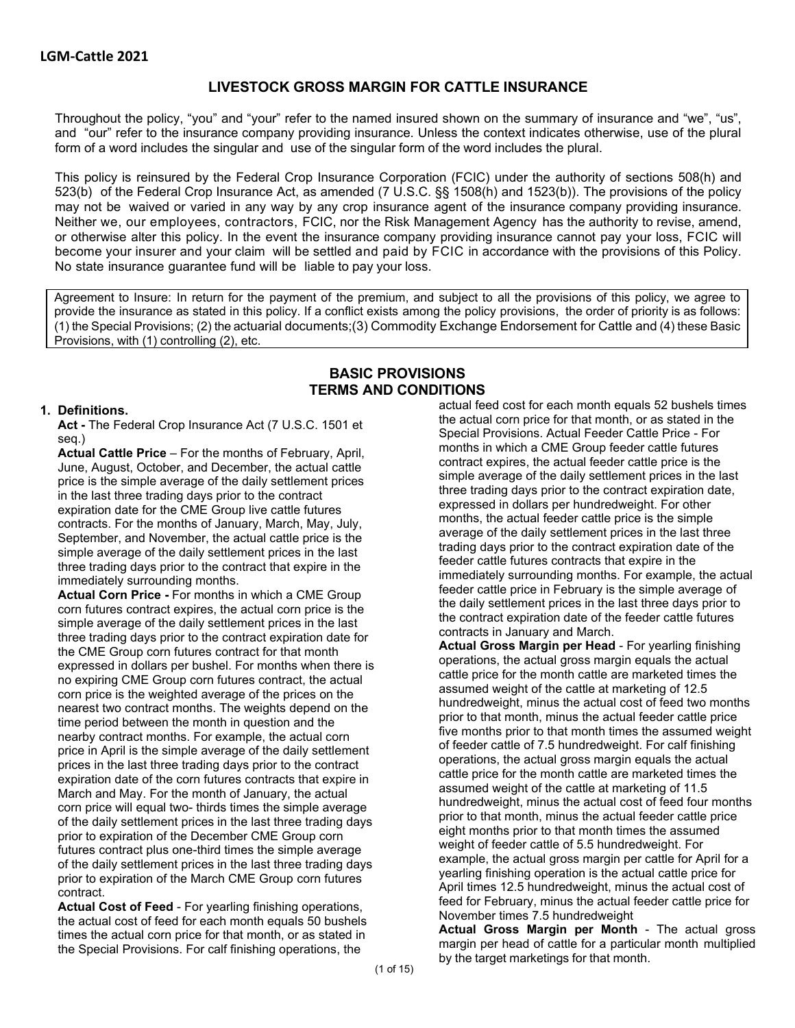## **LIVESTOCK GROSS MARGIN FOR CATTLE INSURANCE**

Throughout the policy, "you" and "your" refer to the named insured shown on the summary of insurance and "we", "us", and "our" refer to the insurance company providing insurance. Unless the context indicates otherwise, use of the plural form of a word includes the singular and use of the singular form of the word includes the plural.

This policy is reinsured by the Federal Crop Insurance Corporation (FCIC) under the authority of sections 508(h) and 523(b) of the Federal Crop Insurance Act, as amended (7 U.S.C. §§ 1508(h) and 1523(b)). The provisions of the policy may not be waived or varied in any way by any crop insurance agent of the insurance company providing insurance. Neither we, our employees, contractors, FCIC, nor the Risk Management Agency has the authority to revise, amend, or otherwise alter this policy. In the event the insurance company providing insurance cannot pay your loss, FCIC will become your insurer and your claim will be settled and paid by FCIC in accordance with the provisions of this Policy. No state insurance guarantee fund will be liable to pay your loss.

Agreement to Insure: In return for the payment of the premium, and subject to all the provisions of this policy, we agree to provide the insurance as stated in this policy. If a conflict exists among the policy provisions, the order of priority is as follows: (1) the Special Provisions; (2) the actuarial documents;(3) Commodity Exchange Endorsement for Cattle and (4) these Basic Provisions, with (1) controlling (2), etc.

## **BASIC PROVISIONS TERMS AND CONDITIONS**

#### **1. Definitions.**

**Act -** The Federal Crop Insurance Act (7 U.S.C. 1501 et seq.)

**Actual Cattle Price** – For the months of February, April, June, August, October, and December, the actual cattle price is the simple average of the daily settlement prices in the last three trading days prior to the contract expiration date for the CME Group live cattle futures contracts. For the months of January, March, May, July, September, and November, the actual cattle price is the simple average of the daily settlement prices in the last three trading days prior to the contract that expire in the immediately surrounding months.

**Actual Corn Price -** For months in which a CME Group corn futures contract expires, the actual corn price is the simple average of the daily settlement prices in the last three trading days prior to the contract expiration date for the CME Group corn futures contract for that month expressed in dollars per bushel. For months when there is no expiring CME Group corn futures contract, the actual corn price is the weighted average of the prices on the nearest two contract months. The weights depend on the time period between the month in question and the nearby contract months. For example, the actual corn price in April is the simple average of the daily settlement prices in the last three trading days prior to the contract expiration date of the corn futures contracts that expire in March and May. For the month of January, the actual corn price will equal two- thirds times the simple average of the daily settlement prices in the last three trading days prior to expiration of the December CME Group corn futures contract plus one-third times the simple average of the daily settlement prices in the last three trading days prior to expiration of the March CME Group corn futures contract.

**Actual Cost of Feed** - For yearling finishing operations, the actual cost of feed for each month equals 50 bushels times the actual corn price for that month, or as stated in the Special Provisions. For calf finishing operations, the

actual feed cost for each month equals 52 bushels times the actual corn price for that month, or as stated in the Special Provisions. Actual Feeder Cattle Price - For months in which a CME Group feeder cattle futures contract expires, the actual feeder cattle price is the simple average of the daily settlement prices in the last three trading days prior to the contract expiration date, expressed in dollars per hundredweight. For other months, the actual feeder cattle price is the simple average of the daily settlement prices in the last three trading days prior to the contract expiration date of the feeder cattle futures contracts that expire in the immediately surrounding months. For example, the actual feeder cattle price in February is the simple average of the daily settlement prices in the last three days prior to the contract expiration date of the feeder cattle futures contracts in January and March.

**Actual Gross Margin per Head** - For yearling finishing operations, the actual gross margin equals the actual cattle price for the month cattle are marketed times the assumed weight of the cattle at marketing of 12.5 hundredweight, minus the actual cost of feed two months prior to that month, minus the actual feeder cattle price five months prior to that month times the assumed weight of feeder cattle of 7.5 hundredweight. For calf finishing operations, the actual gross margin equals the actual cattle price for the month cattle are marketed times the assumed weight of the cattle at marketing of 11.5 hundredweight, minus the actual cost of feed four months prior to that month, minus the actual feeder cattle price eight months prior to that month times the assumed weight of feeder cattle of 5.5 hundredweight. For example, the actual gross margin per cattle for April for a yearling finishing operation is the actual cattle price for April times 12.5 hundredweight, minus the actual cost of feed for February, minus the actual feeder cattle price for November times 7.5 hundredweight

**Actual Gross Margin per Month** - The actual gross margin per head of cattle for a particular month multiplied by the target marketings for that month.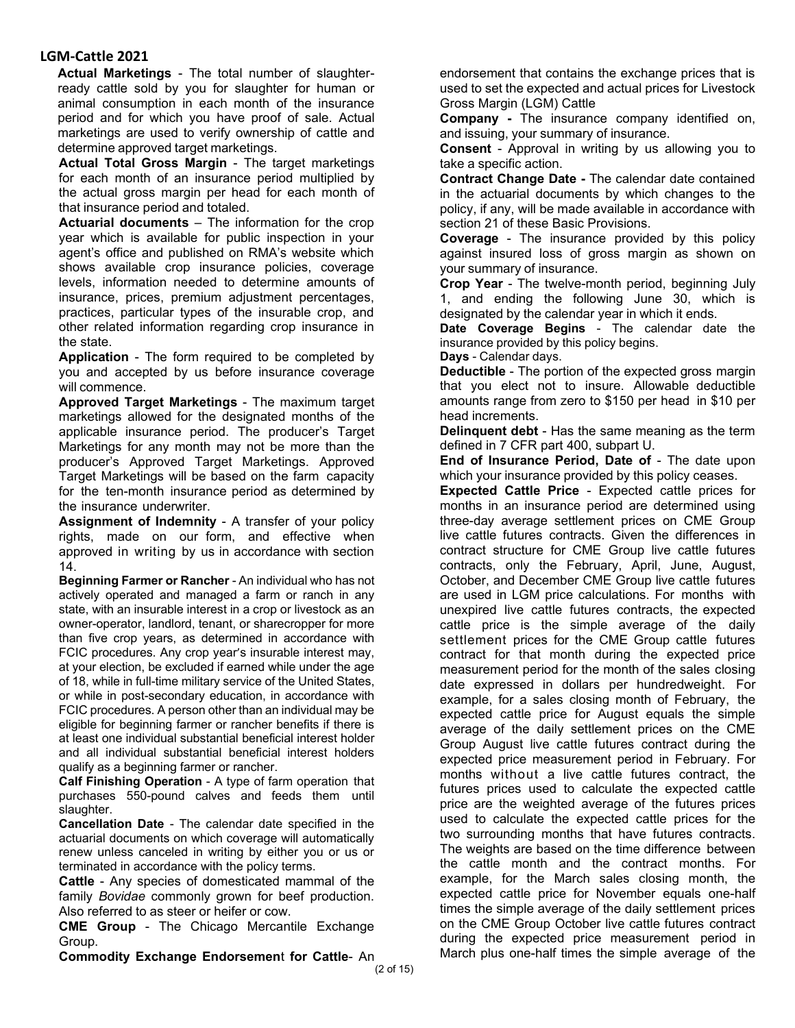**Actual Marketings** - The total number of slaughterready cattle sold by you for slaughter for human or animal consumption in each month of the insurance period and for which you have proof of sale. Actual marketings are used to verify ownership of cattle and determine approved target marketings.

**Actual Total Gross Margin** - The target marketings for each month of an insurance period multiplied by the actual gross margin per head for each month of that insurance period and totaled.

**Actuarial documents** – The information for the crop year which is available for public inspection in your agent's office and published on RMA's website which shows available crop insurance policies, coverage levels, information needed to determine amounts of insurance, prices, premium adjustment percentages, practices, particular types of the insurable crop, and other related information regarding crop insurance in the state.

**Application** - The form required to be completed by you and accepted by us before insurance coverage will commence.

**Approved Target Marketings** - The maximum target marketings allowed for the designated months of the applicable insurance period. The producer's Target Marketings for any month may not be more than the producer's Approved Target Marketings. Approved Target Marketings will be based on the farm capacity for the ten-month insurance period as determined by the insurance underwriter.

**Assignment of Indemnity** - A transfer of your policy rights, made on our form, and effective when approved in writing by us in accordance with section 14.

**Beginning Farmer or Rancher** - An individual who has not actively operated and managed a farm or ranch in any state, with an insurable interest in a crop or livestock as an owner-operator, landlord, tenant, or sharecropper for more than five crop years, as determined in accordance with FCIC procedures. Any crop year's insurable interest may, at your election, be excluded if earned while under the age of 18, while in full-time military service of the United States, or while in post-secondary education, in accordance with FCIC procedures. A person other than an individual may be eligible for beginning farmer or rancher benefits if there is at least one individual substantial beneficial interest holder and all individual substantial beneficial interest holders qualify as a beginning farmer or rancher.

**Calf Finishing Operation** - A type of farm operation that purchases 550-pound calves and feeds them until slaughter.

**Cancellation Date** - The calendar date specified in the actuarial documents on which coverage will automatically renew unless canceled in writing by either you or us or terminated in accordance with the policy terms.

**Cattle** - Any species of domesticated mammal of the family *Bovidae* commonly grown for beef production. Also referred to as steer or heifer or cow.

**CME Group** - The Chicago Mercantile Exchange Group.

**Commodity Exchange Endorsemen**t **for Cattle**- An

endorsement that contains the exchange prices that is used to set the expected and actual prices for Livestock Gross Margin (LGM) Cattle

**Company -** The insurance company identified on, and issuing, your summary of insurance.

**Consent** - Approval in writing by us allowing you to take a specific action.

**Contract Change Date -** The calendar date contained in the actuarial documents by which changes to the policy, if any, will be made available in accordance with section 21 of these Basic Provisions.

**Coverage** - The insurance provided by this policy against insured loss of gross margin as shown on your summary of insurance.

**Crop Year** - The twelve-month period, beginning July 1, and ending the following June 30, which is designated by the calendar year in which it ends.

**Date Coverage Begins** - The calendar date the insurance provided by this policy begins.

**Days** - Calendar days.

**Deductible** - The portion of the expected gross margin that you elect not to insure. Allowable deductible amounts range from zero to \$150 per head in \$10 per head increments.

**Delinquent debt** - Has the same meaning as the term defined in 7 CFR part 400, subpart U.

**End of Insurance Period, Date of** - The date upon which your insurance provided by this policy ceases.

**Expected Cattle Price** - Expected cattle prices for months in an insurance period are determined using three-day average settlement prices on CME Group live cattle futures contracts. Given the differences in contract structure for CME Group live cattle futures contracts, only the February, April, June, August, October, and December CME Group live cattle futures are used in LGM price calculations. For months with unexpired live cattle futures contracts, the expected cattle price is the simple average of the daily settlement prices for the CME Group cattle futures contract for that month during the expected price measurement period for the month of the sales closing date expressed in dollars per hundredweight. For example, for a sales closing month of February, the expected cattle price for August equals the simple average of the daily settlement prices on the CME Group August live cattle futures contract during the expected price measurement period in February. For months without a live cattle futures contract, the futures prices used to calculate the expected cattle price are the weighted average of the futures prices used to calculate the expected cattle prices for the two surrounding months that have futures contracts. The weights are based on the time difference between the cattle month and the contract months. For example, for the March sales closing month, the expected cattle price for November equals one-half times the simple average of the daily settlement prices on the CME Group October live cattle futures contract during the expected price measurement period in March plus one-half times the simple average of the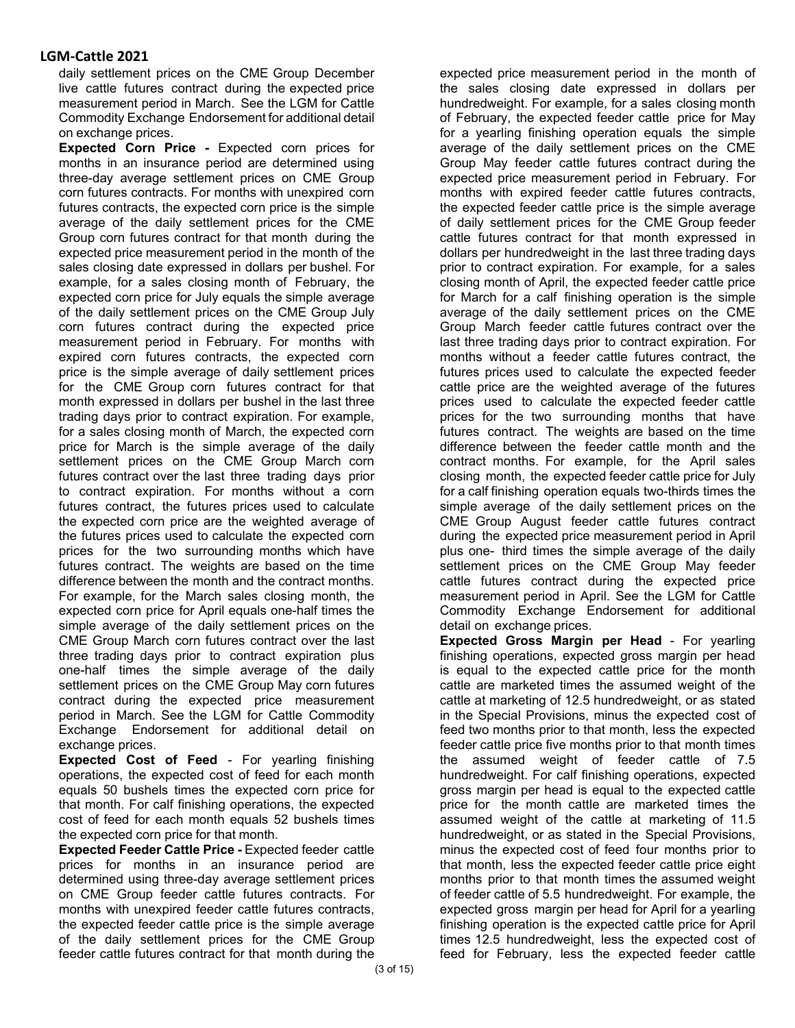daily settlement prices on the CME Group December live cattle futures contract during the expected price measurement period in March. See the LGM for Cattle Commodity Exchange Endorsement for additional detail on exchange prices.

**Expected Corn Price -** Expected corn prices for months in an insurance period are determined using three-day average settlement prices on CME Group corn futures contracts. For months with unexpired corn futures contracts, the expected corn price is the simple average of the daily settlement prices for the CME Group corn futures contract for that month during the expected price measurement period in the month of the sales closing date expressed in dollars per bushel. For example, for a sales closing month of February, the expected corn price for July equals the simple average of the daily settlement prices on the CME Group July corn futures contract during the expected price measurement period in February. For months with expired corn futures contracts, the expected corn price is the simple average of daily settlement prices for the CME Group corn futures contract for that month expressed in dollars per bushel in the last three trading days prior to contract expiration. For example, for a sales closing month of March, the expected corn price for March is the simple average of the daily settlement prices on the CME Group March corn futures contract over the last three trading days prior to contract expiration. For months without a corn futures contract, the futures prices used to calculate the expected corn price are the weighted average of the futures prices used to calculate the expected corn prices for the two surrounding months which have futures contract. The weights are based on the time difference between the month and the contract months. For example, for the March sales closing month, the expected corn price for April equals one-half times the simple average of the daily settlement prices on the CME Group March corn futures contract over the last three trading days prior to contract expiration plus one-half times the simple average of the daily settlement prices on the CME Group May corn futures contract during the expected price measurement period in March. See the LGM for Cattle Commodity Exchange Endorsement for additional detail on exchange prices.

**Expected Cost of Feed** - For yearling finishing operations, the expected cost of feed for each month equals 50 bushels times the expected corn price for that month. For calf finishing operations, the expected cost of feed for each month equals 52 bushels times the expected corn price for that month.

**Expected Feeder Cattle Price -** Expected feeder cattle prices for months in an insurance period are determined using three-day average settlement prices on CME Group feeder cattle futures contracts. For months with unexpired feeder cattle futures contracts, the expected feeder cattle price is the simple average of the daily settlement prices for the CME Group feeder cattle futures contract for that month during the expected price measurement period in the month of the sales closing date expressed in dollars per hundredweight. For example, for a sales closing month of February, the expected feeder cattle price for May for a yearling finishing operation equals the simple average of the daily settlement prices on the CME Group May feeder cattle futures contract during the expected price measurement period in February. For months with expired feeder cattle futures contracts, the expected feeder cattle price is the simple average of daily settlement prices for the CME Group feeder cattle futures contract for that month expressed in dollars per hundredweight in the last three trading days prior to contract expiration. For example, for a sales closing month of April, the expected feeder cattle price for March for a calf finishing operation is the simple average of the daily settlement prices on the CME Group March feeder cattle futures contract over the last three trading days prior to contract expiration. For months without a feeder cattle futures contract, the futures prices used to calculate the expected feeder cattle price are the weighted average of the futures prices used to calculate the expected feeder cattle prices for the two surrounding months that have futures contract. The weights are based on the time difference between the feeder cattle month and the contract months. For example, for the April sales closing month, the expected feeder cattle price for July for a calf finishing operation equals two-thirds times the simple average of the daily settlement prices on the CME Group August feeder cattle futures contract during the expected price measurement period in April plus one- third times the simple average of the daily settlement prices on the CME Group May feeder cattle futures contract during the expected price measurement period in April. See the LGM for Cattle Commodity Exchange Endorsement for additional detail on exchange prices.

**Expected Gross Margin per Head** - For yearling finishing operations, expected gross margin per head is equal to the expected cattle price for the month cattle are marketed times the assumed weight of the cattle at marketing of 12.5 hundredweight, or as stated in the Special Provisions, minus the expected cost of feed two months prior to that month, less the expected feeder cattle price five months prior to that month times the assumed weight of feeder cattle of 7.5 hundredweight. For calf finishing operations, expected gross margin per head is equal to the expected cattle price for the month cattle are marketed times the assumed weight of the cattle at marketing of 11.5 hundredweight, or as stated in the Special Provisions, minus the expected cost of feed four months prior to that month, less the expected feeder cattle price eight months prior to that month times the assumed weight of feeder cattle of 5.5 hundredweight. For example, the expected gross margin per head for April for a yearling finishing operation is the expected cattle price for April times 12.5 hundredweight, less the expected cost of feed for February, less the expected feeder cattle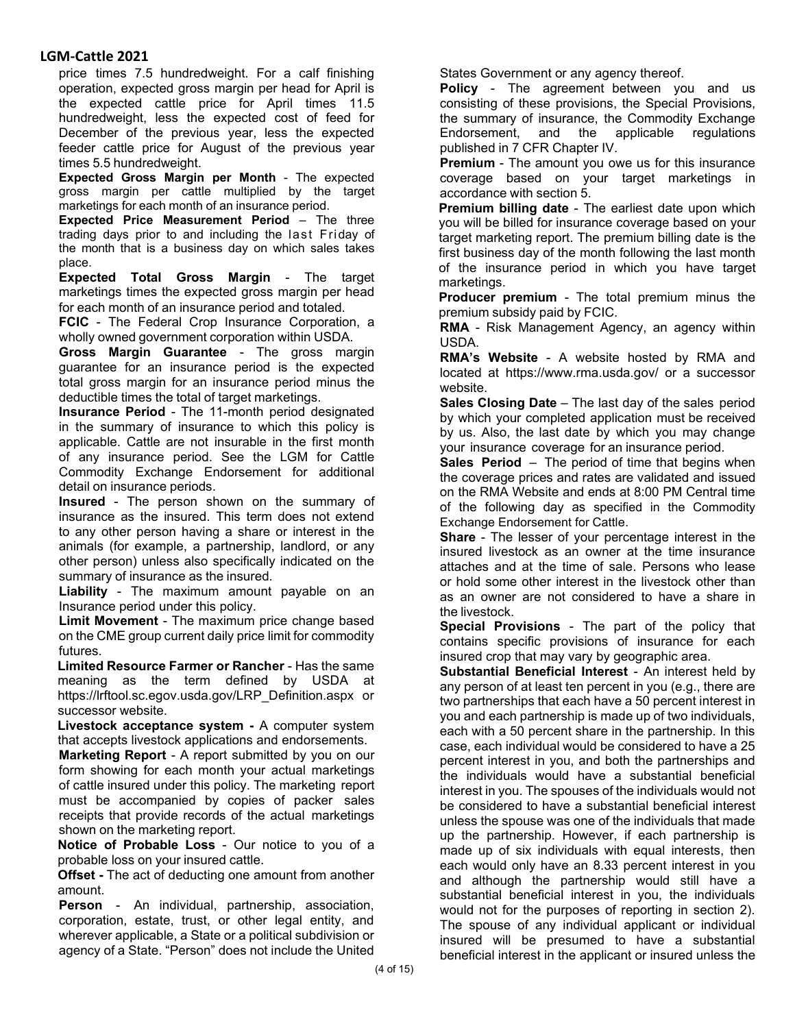price times 7.5 hundredweight. For a calf finishing operation, expected gross margin per head for April is the expected cattle price for April times 11.5 hundredweight, less the expected cost of feed for December of the previous year, less the expected feeder cattle price for August of the previous year times 5.5 hundredweight.

**Expected Gross Margin per Month** - The expected gross margin per cattle multiplied by the target marketings for each month of an insurance period.

**Expected Price Measurement Period** – The three trading days prior to and including the last Friday of the month that is a business day on which sales takes place.

**Expected Total Gross Margin** - The target marketings times the expected gross margin per head for each month of an insurance period and totaled.

**FCIC** - The Federal Crop Insurance Corporation, a wholly owned government corporation within USDA.

**Gross Margin Guarantee** - The gross margin guarantee for an insurance period is the expected total gross margin for an insurance period minus the deductible times the total of target marketings.

**Insurance Period** - The 11-month period designated in the summary of insurance to which this policy is applicable. Cattle are not insurable in the first month of any insurance period. See the LGM for Cattle Commodity Exchange Endorsement for additional detail on insurance periods.

**Insured** - The person shown on the summary of insurance as the insured. This term does not extend to any other person having a share or interest in the animals (for example, a partnership, landlord, or any other person) unless also specifically indicated on the summary of insurance as the insured.

**Liability** - The maximum amount payable on an Insurance period under this policy.

**Limit Movement** - The maximum price change based on the CME group current daily price limit for commodity futures.

**Limited Resource Farmer or Rancher** - Has the same meaning as the term defined by USDA at https://lrftool.sc.egov.usda.gov/LRP\_Definition.aspx or successor website.

**Livestock acceptance system -** A computer system that accepts livestock applications and endorsements.

**Marketing Report** - A report submitted by you on our form showing for each month your actual marketings of cattle insured under this policy. The marketing report must be accompanied by copies of packer sales receipts that provide records of the actual marketings shown on the marketing report.

**Notice of Probable Loss** - Our notice to you of a probable loss on your insured cattle.

**Offset -** The act of deducting one amount from another amount.

**Person** - An individual, partnership, association, corporation, estate, trust, or other legal entity, and wherever applicable, a State or a political subdivision or agency of a State. "Person" does not include the United

States Government or any agency thereof.

**Policy** - The agreement between you and us consisting of these provisions, the Special Provisions, the summary of insurance, the Commodity Exchange Endorsement, and the applicable regulations published in 7 CFR Chapter IV.

**Premium** - The amount you owe us for this insurance coverage based on your target marketings in accordance with section 5.

**Premium billing date** - The earliest date upon which you will be billed for insurance coverage based on your target marketing report. The premium billing date is the first business day of the month following the last month of the insurance period in which you have target marketings.

**Producer premium** - The total premium minus the premium subsidy paid by FCIC.

**RMA** - Risk Management Agency, an agency within USDA.

**RMA's Website** - A website hosted by RMA and located at https://www.rma.usda.gov/ or a successor website.

**Sales Closing Date** – The last day of the sales period by which your completed application must be received by us. Also, the last date by which you may change your insurance coverage for an insurance period.

**Sales Period** – The period of time that begins when the coverage prices and rates are validated and issued on the RMA Website and ends at 8:00 PM Central time of the following day as specified in the Commodity Exchange Endorsement for Cattle.

**Share** - The lesser of your percentage interest in the insured livestock as an owner at the time insurance attaches and at the time of sale. Persons who lease or hold some other interest in the livestock other than as an owner are not considered to have a share in the livestock.

**Special Provisions** - The part of the policy that contains specific provisions of insurance for each insured crop that may vary by geographic area.

**Substantial Beneficial Interest** - An interest held by any person of at least ten percent in you (e.g., there are two partnerships that each have a 50 percent interest in you and each partnership is made up of two individuals, each with a 50 percent share in the partnership. In this case, each individual would be considered to have a 25 percent interest in you, and both the partnerships and the individuals would have a substantial beneficial interest in you. The spouses of the individuals would not be considered to have a substantial beneficial interest unless the spouse was one of the individuals that made up the partnership. However, if each partnership is made up of six individuals with equal interests, then each would only have an 8.33 percent interest in you and although the partnership would still have a substantial beneficial interest in you, the individuals would not for the purposes of reporting in section 2). The spouse of any individual applicant or individual insured will be presumed to have a substantial beneficial interest in the applicant or insured unless the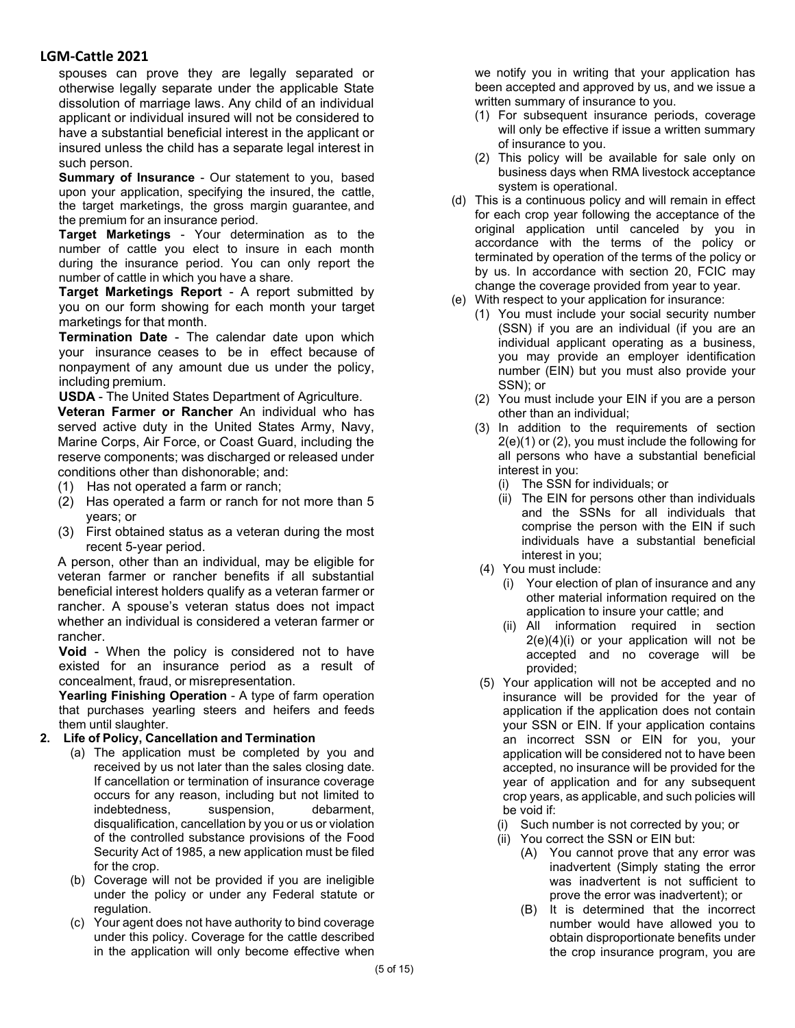spouses can prove they are legally separated or otherwise legally separate under the applicable State dissolution of marriage laws. Any child of an individual applicant or individual insured will not be considered to have a substantial beneficial interest in the applicant or insured unless the child has a separate legal interest in such person.

**Summary of Insurance** - Our statement to you, based upon your application, specifying the insured, the cattle, the target marketings, the gross margin guarantee, and the premium for an insurance period.

**Target Marketings** - Your determination as to the number of cattle you elect to insure in each month during the insurance period. You can only report the number of cattle in which you have a share.

**Target Marketings Report** - A report submitted by you on our form showing for each month your target marketings for that month.

**Termination Date** - The calendar date upon which your insurance ceases to be in effect because of nonpayment of any amount due us under the policy, including premium.

**USDA** - The United States Department of Agriculture.

**Veteran Farmer or Rancher** An individual who has served active duty in the United States Army, Navy, Marine Corps, Air Force, or Coast Guard, including the reserve components; was discharged or released under conditions other than dishonorable; and:

- (1) Has not operated a farm or ranch;
- (2) Has operated a farm or ranch for not more than 5 years; or
- (3) First obtained status as a veteran during the most recent 5-year period.

A person, other than an individual, may be eligible for veteran farmer or rancher benefits if all substantial beneficial interest holders qualify as a veteran farmer or rancher. A spouse's veteran status does not impact whether an individual is considered a veteran farmer or rancher.

**Void** - When the policy is considered not to have existed for an insurance period as a result of concealment, fraud, or misrepresentation.

**Yearling Finishing Operation** - A type of farm operation that purchases yearling steers and heifers and feeds them until slaughter.

### **2. Life of Policy, Cancellation and Termination**

- (a) The application must be completed by you and received by us not later than the sales closing date. If cancellation or termination of insurance coverage occurs for any reason, including but not limited to indebtedness, suspension, debarment, disqualification, cancellation by you or us or violation of the controlled substance provisions of the Food Security Act of 1985, a new application must be filed for the crop.
- (b) Coverage will not be provided if you are ineligible under the policy or under any Federal statute or regulation.
- (c) Your agent does not have authority to bind coverage under this policy. Coverage for the cattle described in the application will only become effective when

we notify you in writing that your application has been accepted and approved by us, and we issue a written summary of insurance to you.

- (1) For subsequent insurance periods, coverage will only be effective if issue a written summary of insurance to you.
- (2) This policy will be available for sale only on business days when RMA livestock acceptance system is operational.
- (d) This is a continuous policy and will remain in effect for each crop year following the acceptance of the original application until canceled by you in accordance with the terms of the policy or terminated by operation of the terms of the policy or by us. In accordance with section 20, FCIC may change the coverage provided from year to year.
- (e) With respect to your application for insurance:
	- (1) You must include your social security number (SSN) if you are an individual (if you are an individual applicant operating as a business, you may provide an employer identification number (EIN) but you must also provide your SSN); or
	- (2) You must include your EIN if you are a person other than an individual;
	- (3) In addition to the requirements of section 2(e)(1) or (2), you must include the following for all persons who have a substantial beneficial interest in you:
		- (i) The SSN for individuals; or
		- (ii) The EIN for persons other than individuals and the SSNs for all individuals that comprise the person with the EIN if such individuals have a substantial beneficial interest in you;
	- (4) You must include:
		- (i) Your election of plan of insurance and any other material information required on the application to insure your cattle; and
		- (ii) All information required in section 2(e)(4)(i) or your application will not be accepted and no coverage will be provided;
	- (5) Your application will not be accepted and no insurance will be provided for the year of application if the application does not contain your SSN or EIN. If your application contains an incorrect SSN or EIN for you, your application will be considered not to have been accepted, no insurance will be provided for the year of application and for any subsequent crop years, as applicable, and such policies will be void if:
		- (i) Such number is not corrected by you; or
		- (ii) You correct the SSN or EIN but:
			- (A) You cannot prove that any error was inadvertent (Simply stating the error was inadvertent is not sufficient to prove the error was inadvertent); or
			- (B) It is determined that the incorrect number would have allowed you to obtain disproportionate benefits under the crop insurance program, you are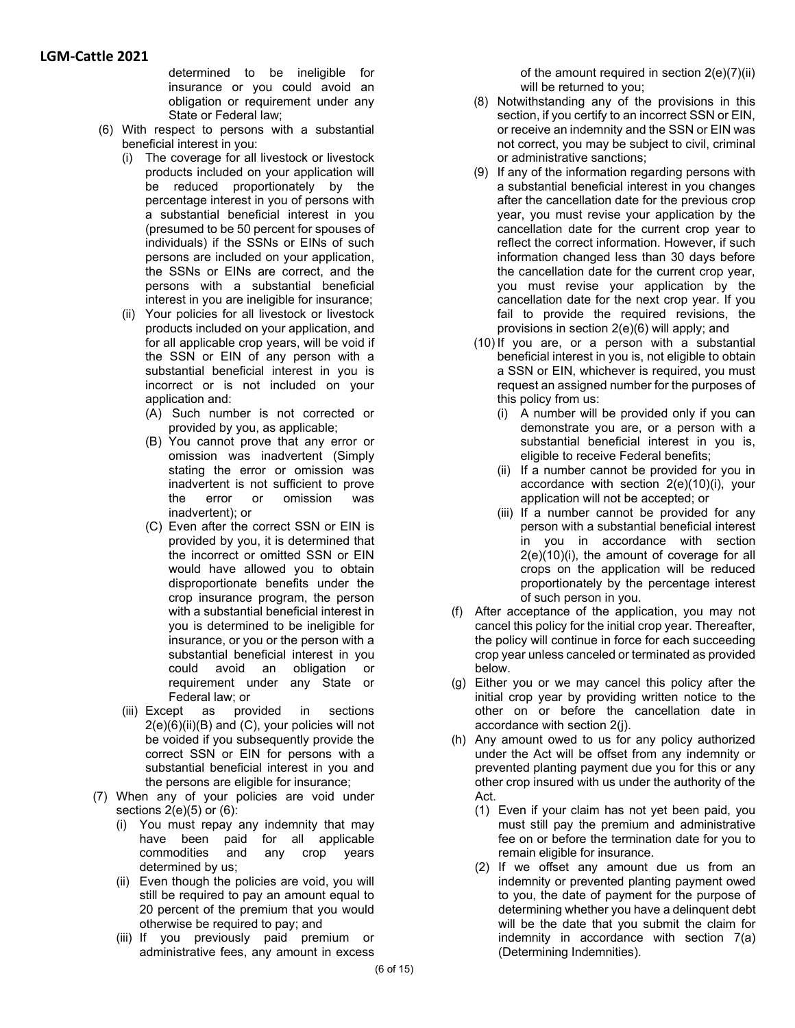determined to be ineligible for insurance or you could avoid an obligation or requirement under any State or Federal law;

- (6) With respect to persons with a substantial beneficial interest in you:
	- (i) The coverage for all livestock or livestock products included on your application will be reduced proportionately by the percentage interest in you of persons with a substantial beneficial interest in you (presumed to be 50 percent for spouses of individuals) if the SSNs or EINs of such persons are included on your application, the SSNs or EINs are correct, and the persons with a substantial beneficial interest in you are ineligible for insurance;
	- (ii) Your policies for all livestock or livestock products included on your application, and for all applicable crop years, will be void if the SSN or EIN of any person with a substantial beneficial interest in you is incorrect or is not included on your application and:
		- (A) Such number is not corrected or provided by you, as applicable;
		- (B) You cannot prove that any error or omission was inadvertent (Simply stating the error or omission was inadvertent is not sufficient to prove the error or omission was inadvertent); or
		- (C) Even after the correct SSN or EIN is provided by you, it is determined that the incorrect or omitted SSN or EIN would have allowed you to obtain disproportionate benefits under the crop insurance program, the person with a substantial beneficial interest in you is determined to be ineligible for insurance, or you or the person with a substantial beneficial interest in you could avoid an obligation or requirement under any State or Federal law; or
	- (iii) Except as provided in sections  $2(e)(6)(ii)(B)$  and  $(C)$ , your policies will not be voided if you subsequently provide the correct SSN or EIN for persons with a substantial beneficial interest in you and the persons are eligible for insurance;
- (7) When any of your policies are void under sections 2(e)(5) or (6):
	- (i) You must repay any indemnity that may have been paid for all applicable commodities and any crop years determined by us;
	- (ii) Even though the policies are void, you will still be required to pay an amount equal to 20 percent of the premium that you would otherwise be required to pay; and
	- (iii) If you previously paid premium or administrative fees, any amount in excess

of the amount required in section 2(e)(7)(ii) will be returned to you;

- (8) Notwithstanding any of the provisions in this section, if you certify to an incorrect SSN or EIN, or receive an indemnity and the SSN or EIN was not correct, you may be subject to civil, criminal or administrative sanctions;
- (9) If any of the information regarding persons with a substantial beneficial interest in you changes after the cancellation date for the previous crop year, you must revise your application by the cancellation date for the current crop year to reflect the correct information. However, if such information changed less than 30 days before the cancellation date for the current crop year, you must revise your application by the cancellation date for the next crop year. If you fail to provide the required revisions, the provisions in section 2(e)(6) will apply; and
- (10) If you are, or a person with a substantial beneficial interest in you is, not eligible to obtain a SSN or EIN, whichever is required, you must request an assigned number for the purposes of this policy from us:
	- (i) A number will be provided only if you can demonstrate you are, or a person with a substantial beneficial interest in you is, eligible to receive Federal benefits;
	- (ii) If a number cannot be provided for you in accordance with section 2(e)(10)(i), your application will not be accepted; or
	- (iii) If a number cannot be provided for any person with a substantial beneficial interest in you in accordance with section 2(e)(10)(i), the amount of coverage for all crops on the application will be reduced proportionately by the percentage interest of such person in you.
- (f) After acceptance of the application, you may not cancel this policy for the initial crop year. Thereafter, the policy will continue in force for each succeeding crop year unless canceled or terminated as provided below.
- (g) Either you or we may cancel this policy after the initial crop year by providing written notice to the other on or before the cancellation date in accordance with section 2(j).
- (h) Any amount owed to us for any policy authorized under the Act will be offset from any indemnity or prevented planting payment due you for this or any other crop insured with us under the authority of the Act.
	- (1) Even if your claim has not yet been paid, you must still pay the premium and administrative fee on or before the termination date for you to remain eligible for insurance.
	- (2) If we offset any amount due us from an indemnity or prevented planting payment owed to you, the date of payment for the purpose of determining whether you have a delinquent debt will be the date that you submit the claim for indemnity in accordance with section 7(a) (Determining Indemnities).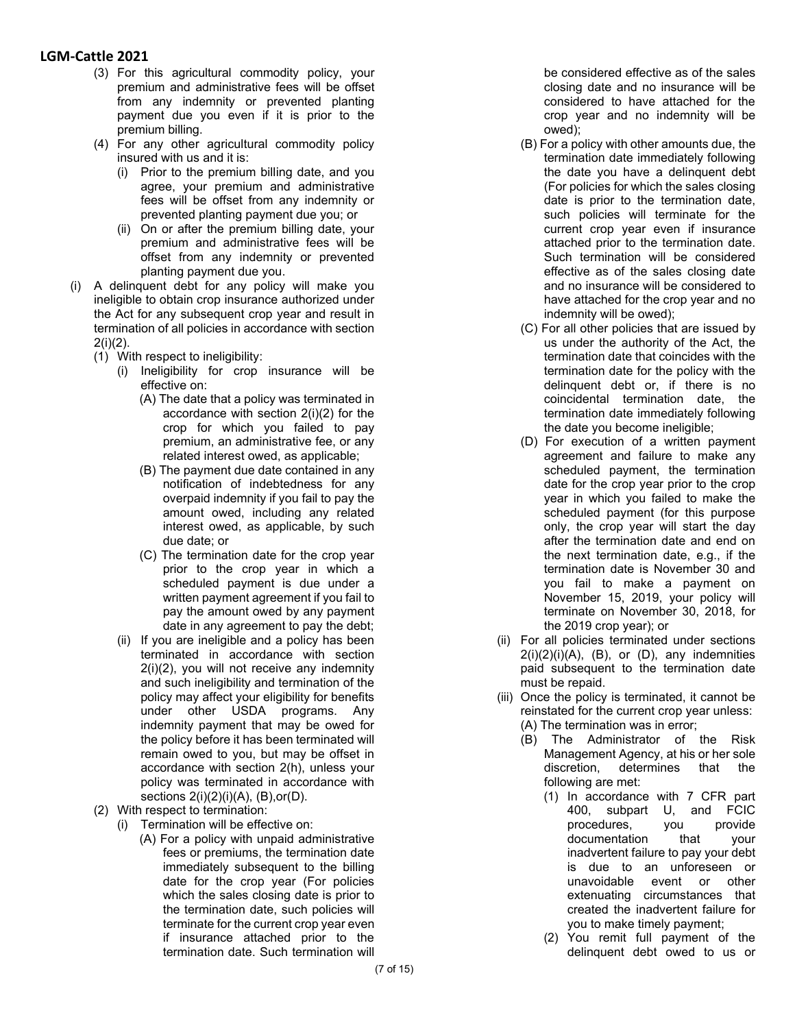- (3) For this agricultural commodity policy, your premium and administrative fees will be offset from any indemnity or prevented planting payment due you even if it is prior to the premium billing.
- (4) For any other agricultural commodity policy insured with us and it is:
	- (i) Prior to the premium billing date, and you agree, your premium and administrative fees will be offset from any indemnity or prevented planting payment due you; or
	- (ii) On or after the premium billing date, your premium and administrative fees will be offset from any indemnity or prevented planting payment due you.
- (i) A delinquent debt for any policy will make you ineligible to obtain crop insurance authorized under the Act for any subsequent crop year and result in termination of all policies in accordance with section 2(i)(2).
	- (1) With respect to ineligibility:
		- (i) Ineligibility for crop insurance will be effective on:
			- (A) The date that a policy was terminated in accordance with section 2(i)(2) for the crop for which you failed to pay premium, an administrative fee, or any related interest owed, as applicable;
			- (B) The payment due date contained in any notification of indebtedness for any overpaid indemnity if you fail to pay the amount owed, including any related interest owed, as applicable, by such due date; or
			- (C) The termination date for the crop year prior to the crop year in which a scheduled payment is due under a written payment agreement if you fail to pay the amount owed by any payment date in any agreement to pay the debt;
		- (ii) If you are ineligible and a policy has been terminated in accordance with section 2(i)(2), you will not receive any indemnity and such ineligibility and termination of the policy may affect your eligibility for benefits under other USDA programs. Any indemnity payment that may be owed for the policy before it has been terminated will remain owed to you, but may be offset in accordance with section 2(h), unless your policy was terminated in accordance with sections 2(i)(2)(i)(A), (B),or(D).
	- (2) With respect to termination:
		- (i) Termination will be effective on:
			- (A) For a policy with unpaid administrative fees or premiums, the termination date immediately subsequent to the billing date for the crop year (For policies which the sales closing date is prior to the termination date, such policies will terminate for the current crop year even if insurance attached prior to the termination date. Such termination will

be considered effective as of the sales closing date and no insurance will be considered to have attached for the crop year and no indemnity will be owed);

- (B) For a policy with other amounts due, the termination date immediately following the date you have a delinquent debt (For policies for which the sales closing date is prior to the termination date, such policies will terminate for the current crop year even if insurance attached prior to the termination date. Such termination will be considered effective as of the sales closing date and no insurance will be considered to have attached for the crop year and no indemnity will be owed);
- (C) For all other policies that are issued by us under the authority of the Act, the termination date that coincides with the termination date for the policy with the delinquent debt or, if there is no coincidental termination date, the termination date immediately following the date you become ineligible;
- (D) For execution of a written payment agreement and failure to make any scheduled payment, the termination date for the crop year prior to the crop year in which you failed to make the scheduled payment (for this purpose only, the crop year will start the day after the termination date and end on the next termination date, e.g., if the termination date is November 30 and you fail to make a payment on November 15, 2019, your policy will terminate on November 30, 2018, for the 2019 crop year); or
- (ii) For all policies terminated under sections  $2(i)(2)(i)(A)$ ,  $(B)$ , or  $(D)$ , any indemnities paid subsequent to the termination date must be repaid.
- (iii) Once the policy is terminated, it cannot be reinstated for the current crop year unless: (A) The termination was in error;
	- (B) The Administrator of the Risk Management Agency, at his or her sole discretion, determines that the following are met:
		- (1) In accordance with 7 CFR part 400, subpart U, and FCIC<br>procedures, you provide procedures, you documentation that your inadvertent failure to pay your debt is due to an unforeseen or unavoidable event or other extenuating circumstances that created the inadvertent failure for you to make timely payment;
		- (2) You remit full payment of the delinquent debt owed to us or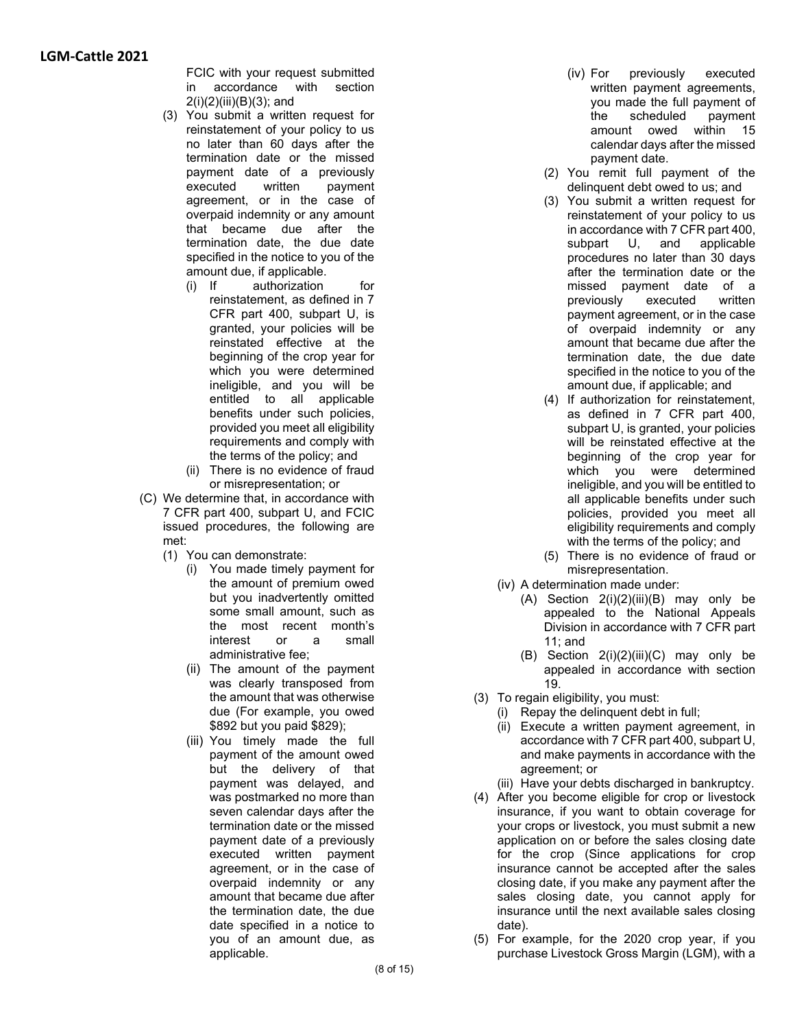FCIC with your request submitted in accordance with section 2(i)(2)(iii)(B)(3); and

- (3) You submit a written request for reinstatement of your policy to us no later than 60 days after the termination date or the missed payment date of a previously executed written payment agreement, or in the case of overpaid indemnity or any amount that became due after the termination date, the due date specified in the notice to you of the amount due, if applicable.
	- (i) If authorization for reinstatement, as defined in 7 CFR part 400, subpart U, is granted, your policies will be reinstated effective at the beginning of the crop year for which you were determined ineligible, and you will be entitled to all applicable benefits under such policies, provided you meet all eligibility requirements and comply with the terms of the policy; and
	- (ii) There is no evidence of fraud or misrepresentation; or
- (C) We determine that, in accordance with 7 CFR part 400, subpart U, and FCIC issued procedures, the following are met:
	- (1) You can demonstrate:
		- (i) You made timely payment for the amount of premium owed but you inadvertently omitted some small amount, such as the most recent month's interest or a small administrative fee;
		- (ii) The amount of the payment was clearly transposed from the amount that was otherwise due (For example, you owed \$892 but you paid \$829);
		- (iii) You timely made the full payment of the amount owed but the delivery of that payment was delayed, and was postmarked no more than seven calendar days after the termination date or the missed payment date of a previously executed written payment agreement, or in the case of overpaid indemnity or any amount that became due after the termination date, the due date specified in a notice to you of an amount due, as applicable.
- (iv) For previously executed written payment agreements, you made the full payment of the scheduled payment amount owed within 15 calendar days after the missed payment date.
- (2) You remit full payment of the delinquent debt owed to us; and
- (3) You submit a written request for reinstatement of your policy to us in accordance with 7 CFR part 400, subpart U, and applicable procedures no later than 30 days after the termination date or the missed payment date of a previously executed written payment agreement, or in the case of overpaid indemnity or any amount that became due after the termination date, the due date specified in the notice to you of the amount due, if applicable; and
- (4) If authorization for reinstatement, as defined in 7 CFR part 400, subpart U, is granted, your policies will be reinstated effective at the beginning of the crop year for which you were determined ineligible, and you will be entitled to all applicable benefits under such policies, provided you meet all eligibility requirements and comply with the terms of the policy; and
- (5) There is no evidence of fraud or misrepresentation.
- (iv) A determination made under:
	- $(A)$  Section  $2(i)(2)(iii)(B)$  may only be appealed to the National Appeals Division in accordance with 7 CFR part 11; and
	- (B) Section  $2(i)(2)(iii)(C)$  may only be appealed in accordance with section 19.
- (3) To regain eligibility, you must:
	- (i) Repay the delinquent debt in full;
	- (ii) Execute a written payment agreement, in accordance with 7 CFR part 400, subpart U, and make payments in accordance with the agreement; or
	- (iii) Have your debts discharged in bankruptcy.
- (4) After you become eligible for crop or livestock insurance, if you want to obtain coverage for your crops or livestock, you must submit a new application on or before the sales closing date for the crop (Since applications for crop insurance cannot be accepted after the sales closing date, if you make any payment after the sales closing date, you cannot apply for insurance until the next available sales closing date).
- (5) For example, for the 2020 crop year, if you purchase Livestock Gross Margin (LGM), with a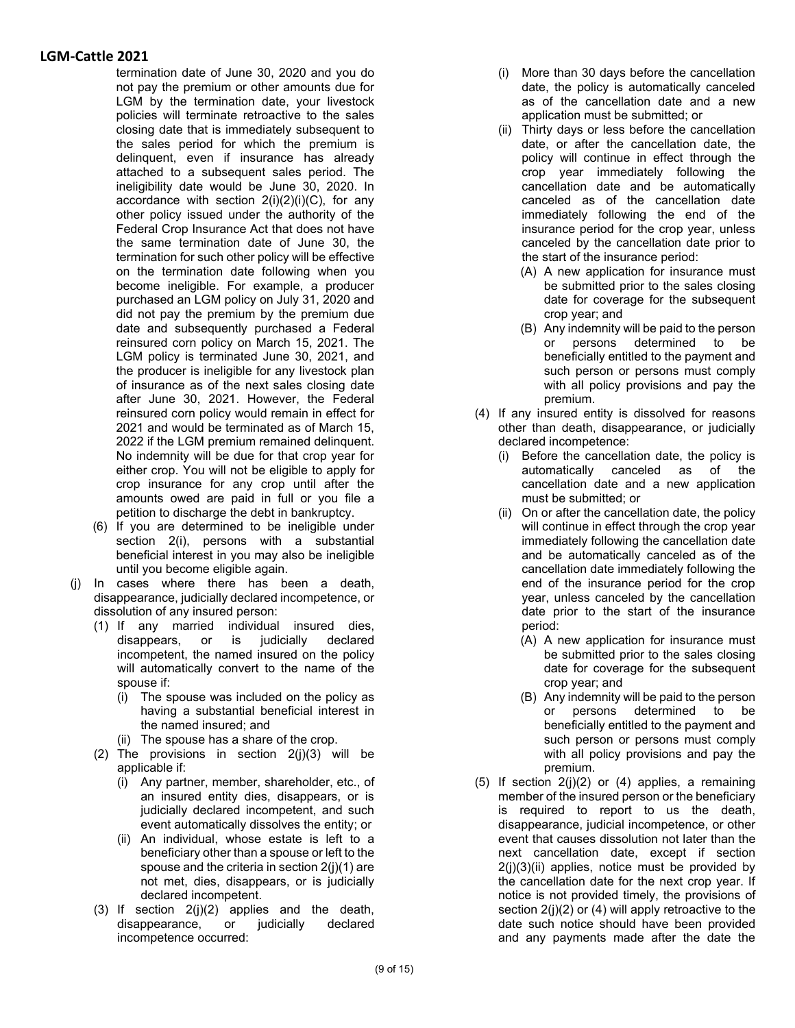termination date of June 30, 2020 and you do not pay the premium or other amounts due for LGM by the termination date, your livestock policies will terminate retroactive to the sales closing date that is immediately subsequent to the sales period for which the premium is delinquent, even if insurance has already attached to a subsequent sales period. The ineligibility date would be June 30, 2020. In accordance with section  $2(i)(2)(i)(C)$ , for any other policy issued under the authority of the Federal Crop Insurance Act that does not have the same termination date of June 30, the termination for such other policy will be effective on the termination date following when you become ineligible. For example, a producer purchased an LGM policy on July 31, 2020 and did not pay the premium by the premium due date and subsequently purchased a Federal reinsured corn policy on March 15, 2021. The LGM policy is terminated June 30, 2021, and the producer is ineligible for any livestock plan of insurance as of the next sales closing date after June 30, 2021. However, the Federal reinsured corn policy would remain in effect for 2021 and would be terminated as of March 15, 2022 if the LGM premium remained delinquent. No indemnity will be due for that crop year for either crop. You will not be eligible to apply for crop insurance for any crop until after the amounts owed are paid in full or you file a petition to discharge the debt in bankruptcy.

- (6) If you are determined to be ineligible under section 2(i), persons with a substantial beneficial interest in you may also be ineligible until you become eligible again.
- (j) In cases where there has been a death, disappearance, judicially declared incompetence, or dissolution of any insured person:
	- (1) If any married individual insured dies, disappears, or is judicially declared incompetent, the named insured on the policy will automatically convert to the name of the spouse if:
		- (i) The spouse was included on the policy as having a substantial beneficial interest in the named insured; and
		- (ii) The spouse has a share of the crop.
	- (2) The provisions in section  $2(j)(3)$  will be applicable if:
		- (i) Any partner, member, shareholder, etc., of an insured entity dies, disappears, or is judicially declared incompetent, and such event automatically dissolves the entity; or
		- (ii) An individual, whose estate is left to a beneficiary other than a spouse or left to the spouse and the criteria in section 2(j)(1) are not met, dies, disappears, or is judicially declared incompetent.
	- (3) If section 2(j)(2) applies and the death, disappearance, or judicially declared incompetence occurred:
- (i) More than 30 days before the cancellation date, the policy is automatically canceled as of the cancellation date and a new application must be submitted; or
- (ii) Thirty days or less before the cancellation date, or after the cancellation date, the policy will continue in effect through the crop year immediately following the cancellation date and be automatically canceled as of the cancellation date immediately following the end of the insurance period for the crop year, unless canceled by the cancellation date prior to the start of the insurance period:
	- (A) A new application for insurance must be submitted prior to the sales closing date for coverage for the subsequent crop year; and
	- (B) Any indemnity will be paid to the person or persons determined to be beneficially entitled to the payment and such person or persons must comply with all policy provisions and pay the premium.
- (4) If any insured entity is dissolved for reasons other than death, disappearance, or judicially declared incompetence:
	- (i) Before the cancellation date, the policy is automatically canceled as of the cancellation date and a new application must be submitted; or
	- (ii) On or after the cancellation date, the policy will continue in effect through the crop year immediately following the cancellation date and be automatically canceled as of the cancellation date immediately following the end of the insurance period for the crop year, unless canceled by the cancellation date prior to the start of the insurance period:
		- (A) A new application for insurance must be submitted prior to the sales closing date for coverage for the subsequent crop year; and
		- (B) Any indemnity will be paid to the person or persons determined to be beneficially entitled to the payment and such person or persons must comply with all policy provisions and pay the premium.
- (5) If section 2(j)(2) or (4) applies, a remaining member of the insured person or the beneficiary is required to report to us the death, disappearance, judicial incompetence, or other event that causes dissolution not later than the next cancellation date, except if section  $2(i)(3)(ii)$  applies, notice must be provided by the cancellation date for the next crop year. If notice is not provided timely, the provisions of section  $2(i)(2)$  or (4) will apply retroactive to the date such notice should have been provided and any payments made after the date the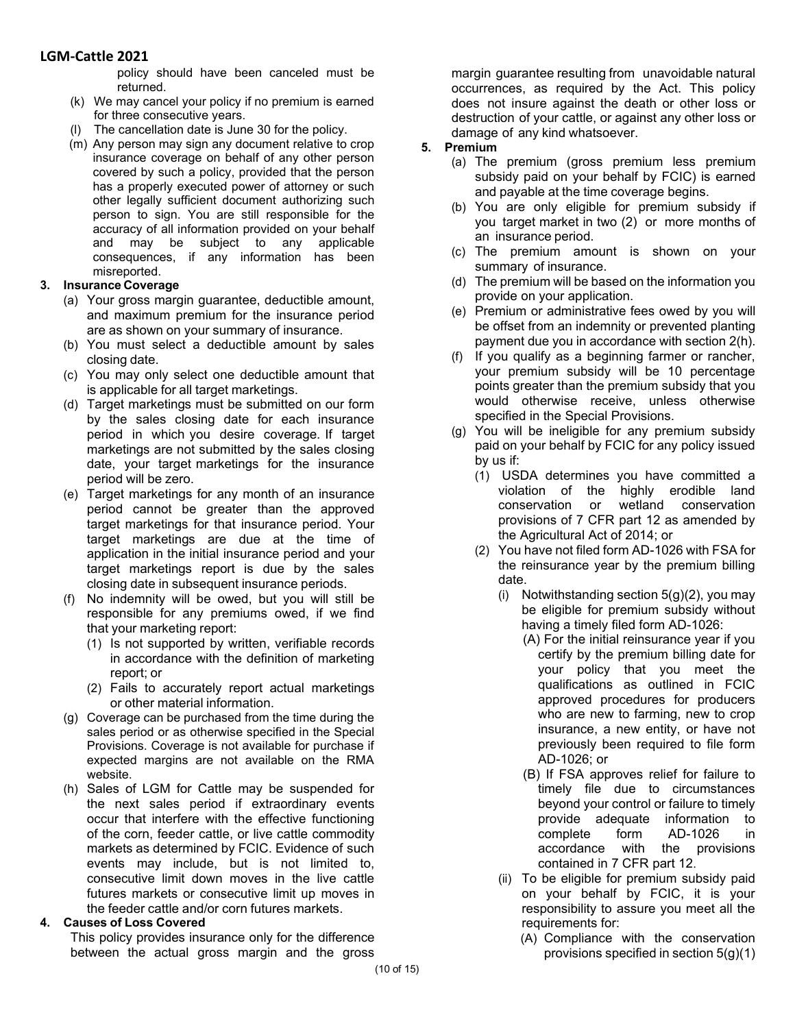policy should have been canceled must be returned.

- (k) We may cancel your policy if no premium is earned for three consecutive years.
- (l) The cancellation date is June 30 for the policy.
- (m) Any person may sign any document relative to crop insurance coverage on behalf of any other person covered by such a policy, provided that the person has a properly executed power of attorney or such other legally sufficient document authorizing such person to sign. You are still responsible for the accuracy of all information provided on your behalf and may be subject to any applicable consequences, if any information has been misreported.

### **3. Insurance Coverage**

- (a) Your gross margin guarantee, deductible amount, and maximum premium for the insurance period are as shown on your summary of insurance.
- (b) You must select a deductible amount by sales closing date.
- (c) You may only select one deductible amount that is applicable for all target marketings.
- (d) Target marketings must be submitted on our form by the sales closing date for each insurance period in which you desire coverage. If target marketings are not submitted by the sales closing date, your target marketings for the insurance period will be zero.
- (e) Target marketings for any month of an insurance period cannot be greater than the approved target marketings for that insurance period. Your target marketings are due at the time of application in the initial insurance period and your target marketings report is due by the sales closing date in subsequent insurance periods.
- (f) No indemnity will be owed, but you will still be responsible for any premiums owed, if we find that your marketing report:
	- (1) Is not supported by written, verifiable records in accordance with the definition of marketing report; or
	- (2) Fails to accurately report actual marketings or other material information.
- (g) Coverage can be purchased from the time during the sales period or as otherwise specified in the Special Provisions. Coverage is not available for purchase if expected margins are not available on the RMA website.
- (h) Sales of LGM for Cattle may be suspended for the next sales period if extraordinary events occur that interfere with the effective functioning of the corn, feeder cattle, or live cattle commodity markets as determined by FCIC. Evidence of such events may include, but is not limited to, consecutive limit down moves in the live cattle futures markets or consecutive limit up moves in the feeder cattle and/or corn futures markets.

### **4. Causes of Loss Covered**

This policy provides insurance only for the difference between the actual gross margin and the gross

margin guarantee resulting from unavoidable natural occurrences, as required by the Act. This policy does not insure against the death or other loss or destruction of your cattle, or against any other loss or damage of any kind whatsoever.

#### **5. Premium**

- (a) The premium (gross premium less premium subsidy paid on your behalf by FCIC) is earned and payable at the time coverage begins.
- (b) You are only eligible for premium subsidy if you target market in two (2) or more months of an insurance period.
- (c) The premium amount is shown on your summary of insurance.
- (d) The premium will be based on the information you provide on your application.
- (e) Premium or administrative fees owed by you will be offset from an indemnity or prevented planting payment due you in accordance with section 2(h).
- (f) If you qualify as a beginning farmer or rancher, your premium subsidy will be 10 percentage points greater than the premium subsidy that you would otherwise receive, unless otherwise specified in the Special Provisions.
- (g) You will be ineligible for any premium subsidy paid on your behalf by FCIC for any policy issued by us if:
	- (1) USDA determines you have committed a violation of the highly erodible land conservation or wetland conservation provisions of 7 CFR part 12 as amended by the Agricultural Act of 2014; or
	- (2) You have not filed form AD-1026 with FSA for the reinsurance year by the premium billing date.
		- (i) Notwithstanding section  $5(q)(2)$ , you may be eligible for premium subsidy without having a timely filed form AD-1026:
			- (A) For the initial reinsurance year if you certify by the premium billing date for your policy that you meet the qualifications as outlined in FCIC approved procedures for producers who are new to farming, new to crop insurance, a new entity, or have not previously been required to file form AD-1026; or
			- (B) If FSA approves relief for failure to timely file due to circumstances beyond your control or failure to timely provide adequate information to complete form AD-1026 in accordance with the provisions contained in 7 CFR part 12.
		- (ii) To be eligible for premium subsidy paid on your behalf by FCIC, it is your responsibility to assure you meet all the requirements for:
			- (A) Compliance with the conservation provisions specified in section 5(g)(1)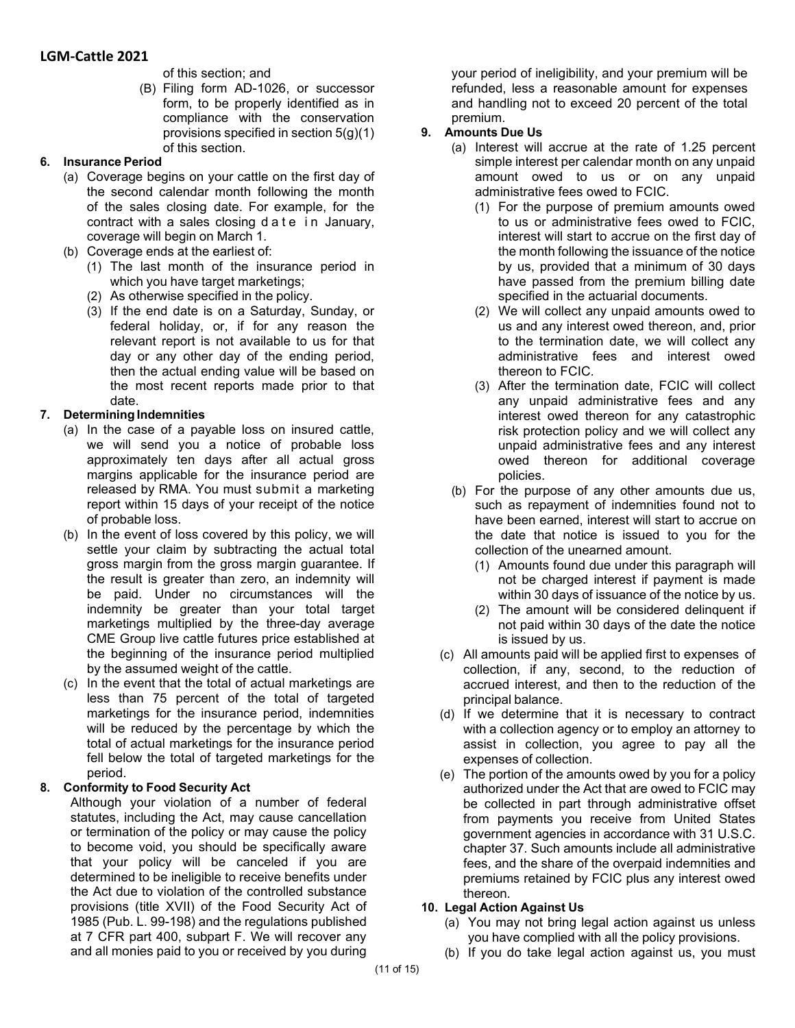of this section; and

(B) Filing form AD-1026, or successor form, to be properly identified as in compliance with the conservation provisions specified in section 5(g)(1) of this section.

### **6. Insurance Period**

- (a) Coverage begins on your cattle on the first day of the second calendar month following the month of the sales closing date. For example, for the contract with a sales closing d a t e in January, coverage will begin on March 1.
- (b) Coverage ends at the earliest of:
	- (1) The last month of the insurance period in which you have target marketings;
	- (2) As otherwise specified in the policy.
	- (3) If the end date is on a Saturday, Sunday, or federal holiday, or, if for any reason the relevant report is not available to us for that day or any other day of the ending period, then the actual ending value will be based on the most recent reports made prior to that date.

## **7. DeterminingIndemnities**

- (a) In the case of a payable loss on insured cattle, we will send you a notice of probable loss approximately ten days after all actual gross margins applicable for the insurance period are released by RMA. You must submit a marketing report within 15 days of your receipt of the notice of probable loss.
- (b) In the event of loss covered by this policy, we will settle your claim by subtracting the actual total gross margin from the gross margin guarantee. If the result is greater than zero, an indemnity will be paid. Under no circumstances will the indemnity be greater than your total target marketings multiplied by the three-day average CME Group live cattle futures price established at the beginning of the insurance period multiplied by the assumed weight of the cattle.
- (c) In the event that the total of actual marketings are less than 75 percent of the total of targeted marketings for the insurance period, indemnities will be reduced by the percentage by which the total of actual marketings for the insurance period fell below the total of targeted marketings for the period.

### **8. Conformity to Food Security Act**

Although your violation of a number of federal statutes, including the Act, may cause cancellation or termination of the policy or may cause the policy to become void, you should be specifically aware that your policy will be canceled if you are determined to be ineligible to receive benefits under the Act due to violation of the controlled substance provisions (title XVII) of the Food Security Act of 1985 (Pub. L. 99-198) and the regulations published at 7 CFR part 400, subpart F. We will recover any and all monies paid to you or received by you during your period of ineligibility, and your premium will be refunded, less a reasonable amount for expenses and handling not to exceed 20 percent of the total premium.

# **9. Amounts Due Us**

- (a) Interest will accrue at the rate of 1.25 percent simple interest per calendar month on any unpaid amount owed to us or on any unpaid administrative fees owed to FCIC.
	- (1) For the purpose of premium amounts owed to us or administrative fees owed to FCIC, interest will start to accrue on the first day of the month following the issuance of the notice by us, provided that a minimum of 30 days have passed from the premium billing date specified in the actuarial documents.
	- (2) We will collect any unpaid amounts owed to us and any interest owed thereon, and, prior to the termination date, we will collect any administrative fees and interest owed thereon to FCIC.
	- (3) After the termination date, FCIC will collect any unpaid administrative fees and any interest owed thereon for any catastrophic risk protection policy and we will collect any unpaid administrative fees and any interest owed thereon for additional coverage policies.
- (b) For the purpose of any other amounts due us, such as repayment of indemnities found not to have been earned, interest will start to accrue on the date that notice is issued to you for the collection of the unearned amount.
	- (1) Amounts found due under this paragraph will not be charged interest if payment is made within 30 days of issuance of the notice by us.
	- (2) The amount will be considered delinquent if not paid within 30 days of the date the notice is issued by us.
- (c) All amounts paid will be applied first to expenses of collection, if any, second, to the reduction of accrued interest, and then to the reduction of the principal balance.
- (d) If we determine that it is necessary to contract with a collection agency or to employ an attorney to assist in collection, you agree to pay all the expenses of collection.
- (e) The portion of the amounts owed by you for a policy authorized under the Act that are owed to FCIC may be collected in part through administrative offset from payments you receive from United States government agencies in accordance with 31 U.S.C. chapter 37. Such amounts include all administrative fees, and the share of the overpaid indemnities and premiums retained by FCIC plus any interest owed thereon.

## **10. Legal Action Against Us**

- (a) You may not bring legal action against us unless you have complied with all the policy provisions.
- (b) If you do take legal action against us, you must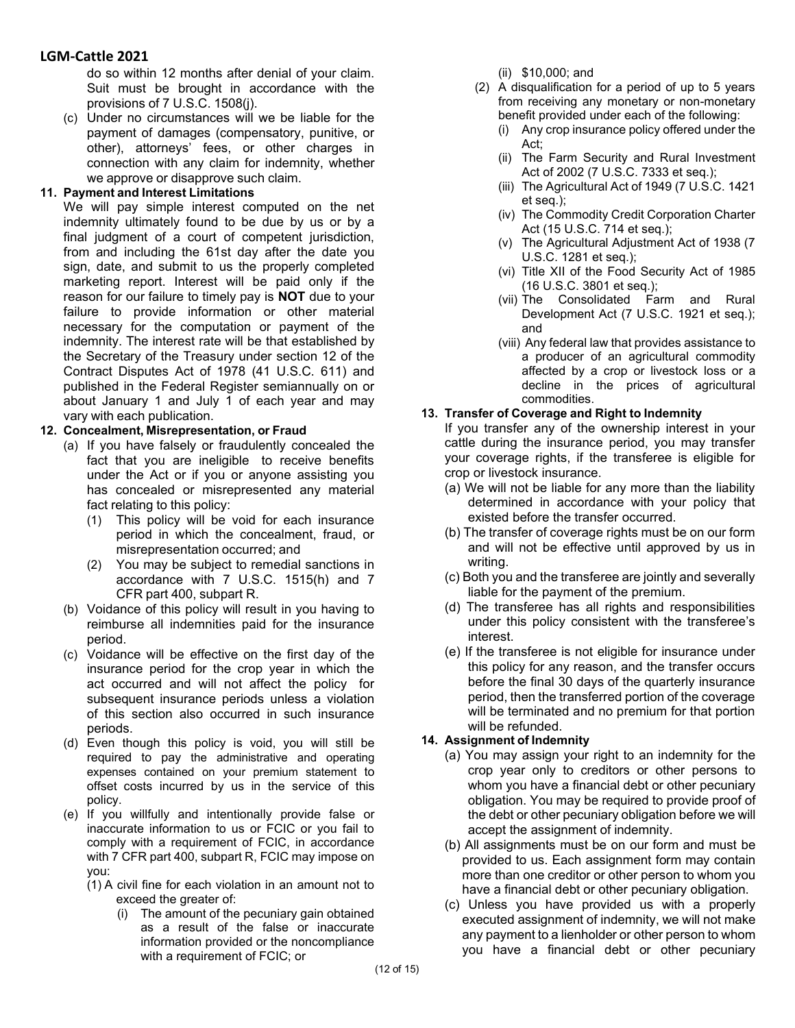do so within 12 months after denial of your claim. Suit must be brought in accordance with the provisions of 7 U.S.C. 1508(j).

(c) Under no circumstances will we be liable for the payment of damages (compensatory, punitive, or other), attorneys' fees, or other charges in connection with any claim for indemnity, whether we approve or disapprove such claim.

#### **11. Payment and Interest Limitations**

We will pay simple interest computed on the net indemnity ultimately found to be due by us or by a final judgment of a court of competent jurisdiction, from and including the 61st day after the date you sign, date, and submit to us the properly completed marketing report. Interest will be paid only if the reason for our failure to timely pay is **NOT** due to your failure to provide information or other material necessary for the computation or payment of the indemnity. The interest rate will be that established by the Secretary of the Treasury under section 12 of the Contract Disputes Act of 1978 (41 U.S.C. 611) and published in the Federal Register semiannually on or about January 1 and July 1 of each year and may vary with each publication.

#### **12. Concealment, Misrepresentation, or Fraud**

- (a) If you have falsely or fraudulently concealed the fact that you are ineligible to receive benefits under the Act or if you or anyone assisting you has concealed or misrepresented any material fact relating to this policy:
	- (1) This policy will be void for each insurance period in which the concealment, fraud, or misrepresentation occurred; and
	- (2) You may be subject to remedial sanctions in accordance with 7 U.S.C. 1515(h) and 7 CFR part 400, subpart R.
- (b) Voidance of this policy will result in you having to reimburse all indemnities paid for the insurance period.
- (c) Voidance will be effective on the first day of the insurance period for the crop year in which the act occurred and will not affect the policy for subsequent insurance periods unless a violation of this section also occurred in such insurance periods.
- (d) Even though this policy is void, you will still be required to pay the administrative and operating expenses contained on your premium statement to offset costs incurred by us in the service of this policy.
- (e) If you willfully and intentionally provide false or inaccurate information to us or FCIC or you fail to comply with a requirement of FCIC, in accordance with 7 CFR part 400, subpart R, FCIC may impose on you:
	- (1) A civil fine for each violation in an amount not to exceed the greater of:
		- (i) The amount of the pecuniary gain obtained as a result of the false or inaccurate information provided or the noncompliance with a requirement of FCIC; or
- (ii) \$10,000; and
- (2) A disqualification for a period of up to 5 years from receiving any monetary or non-monetary benefit provided under each of the following:
	- (i) Any crop insurance policy offered under the Act;
	- (ii) The Farm Security and Rural Investment Act of 2002 (7 U.S.C. 7333 et seq.);
	- (iii) The Agricultural Act of 1949 (7 U.S.C. 1421 et seq.);
	- (iv) The Commodity Credit Corporation Charter Act (15 U.S.C. 714 et seq.);
	- (v) The Agricultural Adjustment Act of 1938 (7 U.S.C. 1281 et seq.);
	- (vi) Title XII of the Food Security Act of 1985 (16 U.S.C. 3801 et seq.);
	- (vii) The Consolidated Farm and Rural Development Act (7 U.S.C. 1921 et seq.); and
	- (viii) Any federal law that provides assistance to a producer of an agricultural commodity affected by a crop or livestock loss or a decline in the prices of agricultural commodities.

#### **13. Transfer of Coverage and Right to Indemnity**

If you transfer any of the ownership interest in your cattle during the insurance period, you may transfer your coverage rights, if the transferee is eligible for crop or livestock insurance.

- (a) We will not be liable for any more than the liability determined in accordance with your policy that existed before the transfer occurred.
- (b) The transfer of coverage rights must be on our form and will not be effective until approved by us in writing.
- (c) Both you and the transferee are jointly and severally liable for the payment of the premium.
- (d) The transferee has all rights and responsibilities under this policy consistent with the transferee's interest.
- (e) If the transferee is not eligible for insurance under this policy for any reason, and the transfer occurs before the final 30 days of the quarterly insurance period, then the transferred portion of the coverage will be terminated and no premium for that portion will be refunded.

### **14. Assignment of Indemnity**

- (a) You may assign your right to an indemnity for the crop year only to creditors or other persons to whom you have a financial debt or other pecuniary obligation. You may be required to provide proof of the debt or other pecuniary obligation before we will accept the assignment of indemnity.
- (b) All assignments must be on our form and must be provided to us. Each assignment form may contain more than one creditor or other person to whom you have a financial debt or other pecuniary obligation.
- (c) Unless you have provided us with a properly executed assignment of indemnity, we will not make any payment to a lienholder or other person to whom you have a financial debt or other pecuniary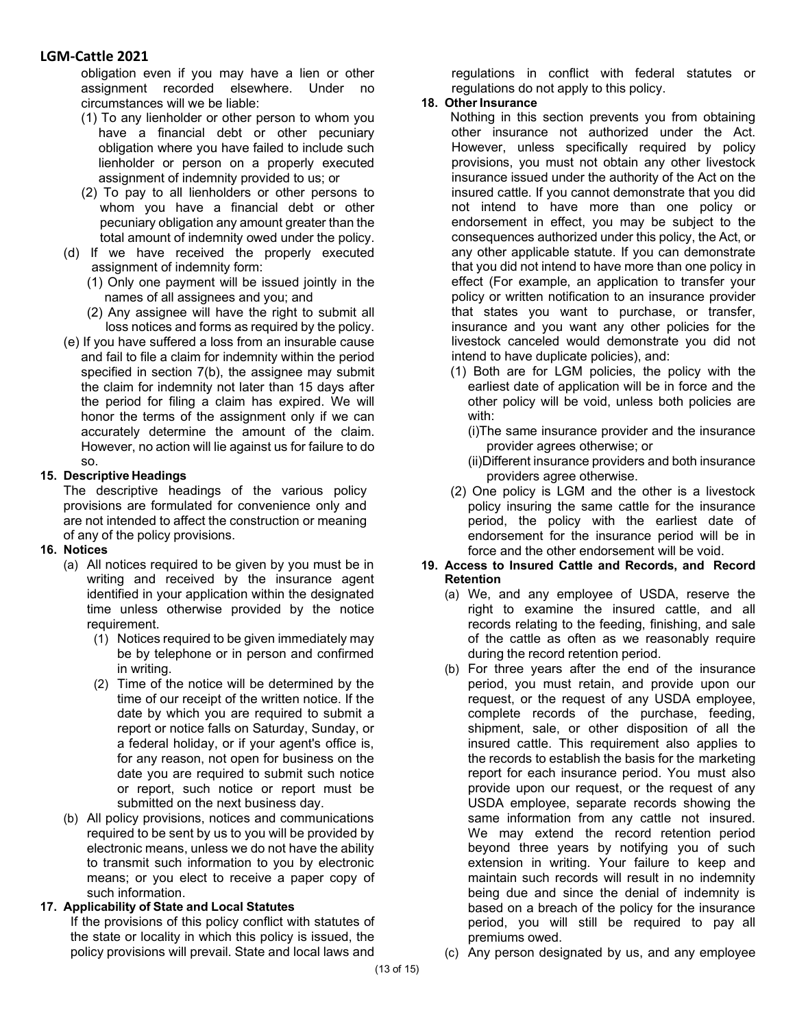obligation even if you may have a lien or other assignment recorded elsewhere. Under no circumstances will we be liable:

- (1) To any lienholder or other person to whom you have a financial debt or other pecuniary obligation where you have failed to include such lienholder or person on a properly executed assignment of indemnity provided to us; or
- (2) To pay to all lienholders or other persons to whom you have a financial debt or other pecuniary obligation any amount greater than the total amount of indemnity owed under the policy.
- (d) If we have received the properly executed assignment of indemnity form:
	- (1) Only one payment will be issued jointly in the names of all assignees and you; and
	- (2) Any assignee will have the right to submit all loss notices and forms as required by the policy.
- (e) If you have suffered a loss from an insurable cause and fail to file a claim for indemnity within the period specified in section 7(b), the assignee may submit the claim for indemnity not later than 15 days after the period for filing a claim has expired. We will honor the terms of the assignment only if we can accurately determine the amount of the claim. However, no action will lie against us for failure to do so.

#### **15. Descriptive Headings**

The descriptive headings of the various policy provisions are formulated for convenience only and are not intended to affect the construction or meaning of any of the policy provisions.

- **16. Notices**
	- (a) All notices required to be given by you must be in writing and received by the insurance agent identified in your application within the designated time unless otherwise provided by the notice requirement.
		- (1) Notices required to be given immediately may be by telephone or in person and confirmed in writing.
		- (2) Time of the notice will be determined by the time of our receipt of the written notice. If the date by which you are required to submit a report or notice falls on Saturday, Sunday, or a federal holiday, or if your agent's office is, for any reason, not open for business on the date you are required to submit such notice or report, such notice or report must be submitted on the next business day.
	- (b) All policy provisions, notices and communications required to be sent by us to you will be provided by electronic means, unless we do not have the ability to transmit such information to you by electronic means; or you elect to receive a paper copy of such information.

### **17. Applicability of State and Local Statutes**

If the provisions of this policy conflict with statutes of the state or locality in which this policy is issued, the policy provisions will prevail. State and local laws and regulations in conflict with federal statutes or regulations do not apply to this policy.

#### **18. Other Insurance**

Nothing in this section prevents you from obtaining other insurance not authorized under the Act. However, unless specifically required by policy provisions, you must not obtain any other livestock insurance issued under the authority of the Act on the insured cattle. If you cannot demonstrate that you did not intend to have more than one policy or endorsement in effect, you may be subject to the consequences authorized under this policy, the Act, or any other applicable statute. If you can demonstrate that you did not intend to have more than one policy in effect (For example, an application to transfer your policy or written notification to an insurance provider that states you want to purchase, or transfer, insurance and you want any other policies for the livestock canceled would demonstrate you did not intend to have duplicate policies), and:

- (1) Both are for LGM policies, the policy with the earliest date of application will be in force and the other policy will be void, unless both policies are with:
	- (i)The same insurance provider and the insurance provider agrees otherwise; or
	- (ii)Different insurance providers and both insurance providers agree otherwise.
- (2) One policy is LGM and the other is a livestock policy insuring the same cattle for the insurance period, the policy with the earliest date of endorsement for the insurance period will be in force and the other endorsement will be void.
- **19. Access to Insured Cattle and Records, and Record Retention**
	- (a) We, and any employee of USDA, reserve the right to examine the insured cattle, and all records relating to the feeding, finishing, and sale of the cattle as often as we reasonably require during the record retention period.
	- (b) For three years after the end of the insurance period, you must retain, and provide upon our request, or the request of any USDA employee, complete records of the purchase, feeding, shipment, sale, or other disposition of all the insured cattle. This requirement also applies to the records to establish the basis for the marketing report for each insurance period. You must also provide upon our request, or the request of any USDA employee, separate records showing the same information from any cattle not insured. We may extend the record retention period beyond three years by notifying you of such extension in writing. Your failure to keep and maintain such records will result in no indemnity being due and since the denial of indemnity is based on a breach of the policy for the insurance period, you will still be required to pay all premiums owed.
	- (c) Any person designated by us, and any employee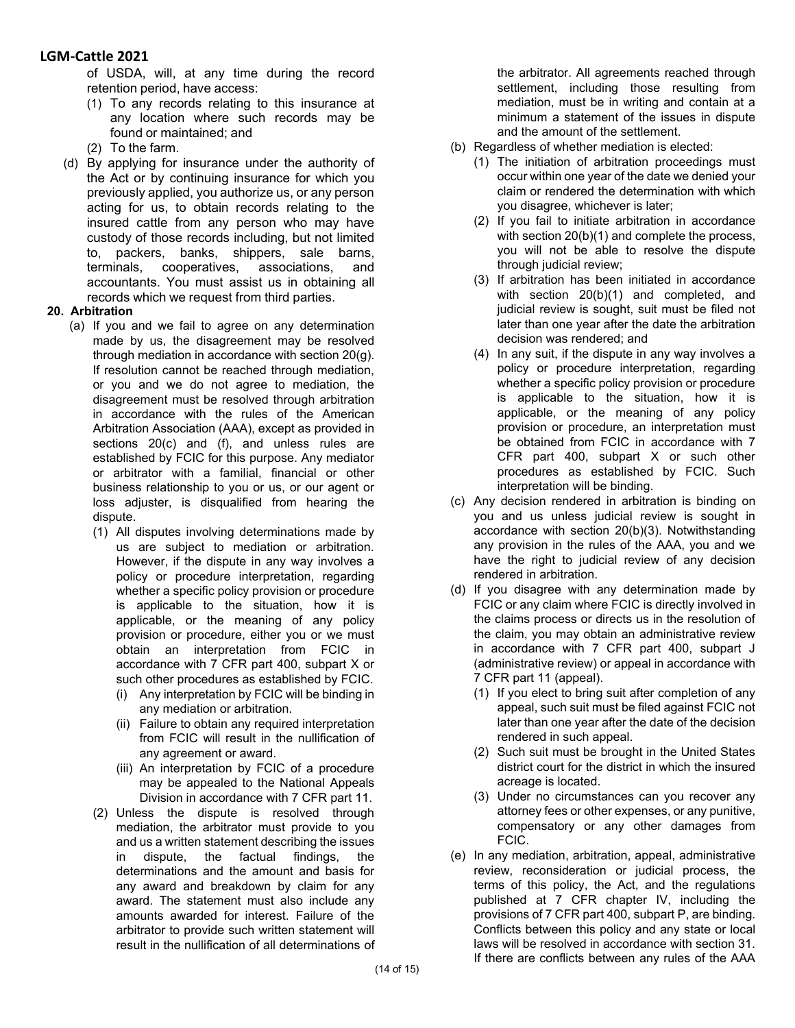of USDA, will, at any time during the record retention period, have access:

- (1) To any records relating to this insurance at any location where such records may be found or maintained; and
- (2) To the farm.
- (d) By applying for insurance under the authority of the Act or by continuing insurance for which you previously applied, you authorize us, or any person acting for us, to obtain records relating to the insured cattle from any person who may have custody of those records including, but not limited to, packers, banks, shippers, sale barns, terminals, cooperatives, associations, and accountants. You must assist us in obtaining all records which we request from third parties.

#### **20. Arbitration**

- (a) If you and we fail to agree on any determination made by us, the disagreement may be resolved through mediation in accordance with section 20(g). If resolution cannot be reached through mediation, or you and we do not agree to mediation, the disagreement must be resolved through arbitration in accordance with the rules of the American Arbitration Association (AAA), except as provided in sections 20(c) and (f), and unless rules are established by FCIC for this purpose. Any mediator or arbitrator with a familial, financial or other business relationship to you or us, or our agent or loss adjuster, is disqualified from hearing the dispute.
	- (1) All disputes involving determinations made by us are subject to mediation or arbitration. However, if the dispute in any way involves a policy or procedure interpretation, regarding whether a specific policy provision or procedure is applicable to the situation, how it is applicable, or the meaning of any policy provision or procedure, either you or we must obtain an interpretation from FCIC in accordance with 7 CFR part 400, subpart X or such other procedures as established by FCIC.
		- (i) Any interpretation by FCIC will be binding in any mediation or arbitration.
		- (ii) Failure to obtain any required interpretation from FCIC will result in the nullification of any agreement or award.
		- (iii) An interpretation by FCIC of a procedure may be appealed to the National Appeals Division in accordance with 7 CFR part 11.
	- (2) Unless the dispute is resolved through mediation, the arbitrator must provide to you and us a written statement describing the issues in dispute, the factual findings, the determinations and the amount and basis for any award and breakdown by claim for any award. The statement must also include any amounts awarded for interest. Failure of the arbitrator to provide such written statement will result in the nullification of all determinations of

the arbitrator. All agreements reached through settlement, including those resulting from mediation, must be in writing and contain at a minimum a statement of the issues in dispute and the amount of the settlement.

- (b) Regardless of whether mediation is elected:
	- (1) The initiation of arbitration proceedings must occur within one year of the date we denied your claim or rendered the determination with which you disagree, whichever is later;
	- (2) If you fail to initiate arbitration in accordance with section 20(b)(1) and complete the process, you will not be able to resolve the dispute through judicial review;
	- (3) If arbitration has been initiated in accordance with section 20(b)(1) and completed, and judicial review is sought, suit must be filed not later than one year after the date the arbitration decision was rendered; and
	- (4) In any suit, if the dispute in any way involves a policy or procedure interpretation, regarding whether a specific policy provision or procedure is applicable to the situation, how it is applicable, or the meaning of any policy provision or procedure, an interpretation must be obtained from FCIC in accordance with 7 CFR part 400, subpart X or such other procedures as established by FCIC. Such interpretation will be binding.
- (c) Any decision rendered in arbitration is binding on you and us unless judicial review is sought in accordance with section 20(b)(3). Notwithstanding any provision in the rules of the AAA, you and we have the right to judicial review of any decision rendered in arbitration.
- (d) If you disagree with any determination made by FCIC or any claim where FCIC is directly involved in the claims process or directs us in the resolution of the claim, you may obtain an administrative review in accordance with 7 CFR part 400, subpart J (administrative review) or appeal in accordance with 7 CFR part 11 (appeal).
	- (1) If you elect to bring suit after completion of any appeal, such suit must be filed against FCIC not later than one year after the date of the decision rendered in such appeal.
	- (2) Such suit must be brought in the United States district court for the district in which the insured acreage is located.
	- (3) Under no circumstances can you recover any attorney fees or other expenses, or any punitive, compensatory or any other damages from FCIC.
- (e) In any mediation, arbitration, appeal, administrative review, reconsideration or judicial process, the terms of this policy, the Act, and the regulations published at 7 CFR chapter IV, including the provisions of 7 CFR part 400, subpart P, are binding. Conflicts between this policy and any state or local laws will be resolved in accordance with section 31. If there are conflicts between any rules of the AAA